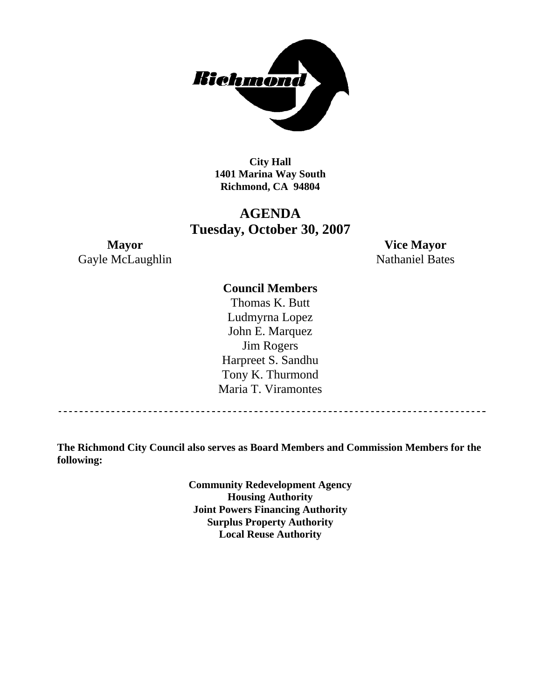

**City Hall 1401 Marina Way South Richmond, CA 94804** 

# **AGENDA Tuesday, October 30, 2007**

**Mayor Vice Mayor**  Gayle McLaughlin Nathaniel Bates

#### **Council Members**

Thomas K. Butt Ludmyrna Lopez John E. Marquez Jim Rogers Harpreet S. Sandhu Tony K. Thurmond Maria T. Viramontes

**The Richmond City Council also serves as Board Members and Commission Members for the following:** 

> **Community Redevelopment Agency Housing Authority Joint Powers Financing Authority Surplus Property Authority Local Reuse Authority**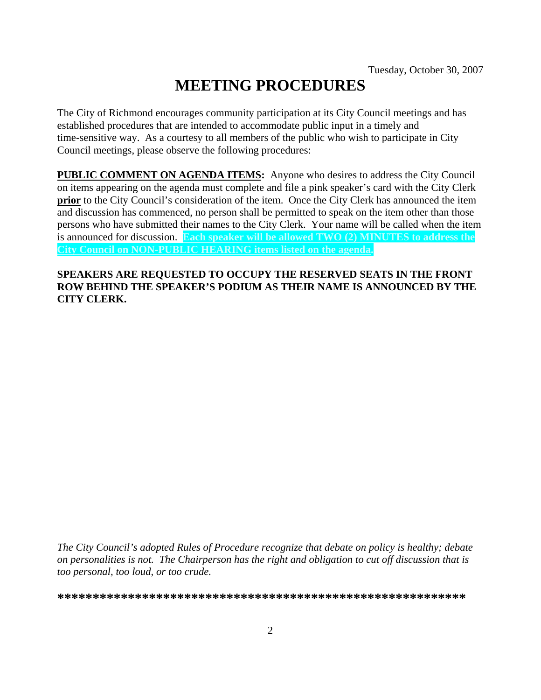# **MEETING PROCEDURES**

The City of Richmond encourages community participation at its City Council meetings and has established procedures that are intended to accommodate public input in a timely and time-sensitive way. As a courtesy to all members of the public who wish to participate in City Council meetings, please observe the following procedures:

**PUBLIC COMMENT ON AGENDA ITEMS:** Anyone who desires to address the City Council on items appearing on the agenda must complete and file a pink speaker's card with the City Clerk **prior** to the City Council's consideration of the item. Once the City Clerk has announced the item and discussion has commenced, no person shall be permitted to speak on the item other than those persons who have submitted their names to the City Clerk. Your name will be called when the item is announced for discussion. **Each speaker will be allowed TWO (2) MINUTES to address the City Council on NON-PUBLIC HEARING items listed on the agenda.** 

#### **SPEAKERS ARE REQUESTED TO OCCUPY THE RESERVED SEATS IN THE FRONT ROW BEHIND THE SPEAKER'S PODIUM AS THEIR NAME IS ANNOUNCED BY THE CITY CLERK.**

*The City Council's adopted Rules of Procedure recognize that debate on policy is healthy; debate on personalities is not. The Chairperson has the right and obligation to cut off discussion that is too personal, too loud, or too crude.* 

**\*\*\*\*\*\*\*\*\*\*\*\*\*\*\*\*\*\*\*\*\*\*\*\*\*\*\*\*\*\*\*\*\*\*\*\*\*\*\*\*\*\*\*\*\*\*\*\*\*\*\*\*\*\*\*\*\*\***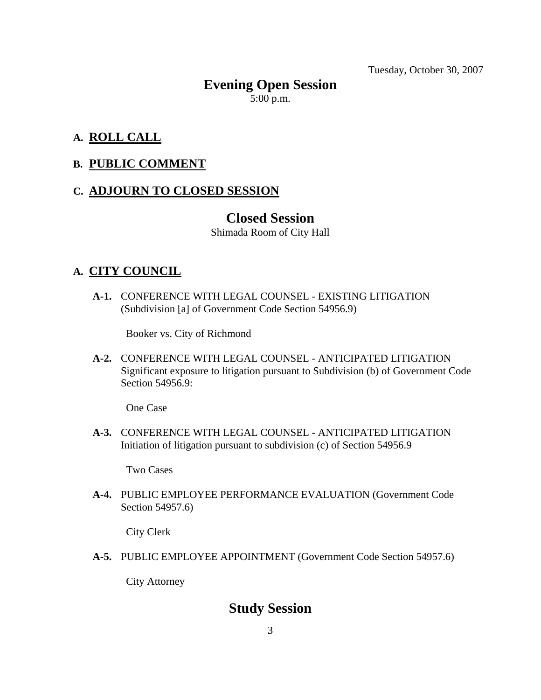Tuesday, October 30, 2007

# **Evening Open Session**   $5:00$  p.m.

### **A. ROLL CALL**

### **B. PUBLIC COMMENT**

### **C. ADJOURN TO CLOSED SESSION**

### **Closed Session**

Shimada Room of City Hall

### **A. CITY COUNCIL**

 **A-1.** CONFERENCE WITH LEGAL COUNSEL - EXISTING LITIGATION (Subdivision [a] of Government Code Section 54956.9)

Booker vs. City of Richmond

 **A-2.** CONFERENCE WITH LEGAL COUNSEL - ANTICIPATED LITIGATION Significant exposure to litigation pursuant to Subdivision (b) of Government Code Section 54956.9:

One Case

 **A-3.** CONFERENCE WITH LEGAL COUNSEL - ANTICIPATED LITIGATION Initiation of litigation pursuant to subdivision (c) of Section 54956.9

Two Cases

 **A-4.** PUBLIC EMPLOYEE PERFORMANCE EVALUATION (Government Code Section 54957.6)

City Clerk

 **A-5.** PUBLIC EMPLOYEE APPOINTMENT (Government Code Section 54957.6)

City Attorney

## **Study Session**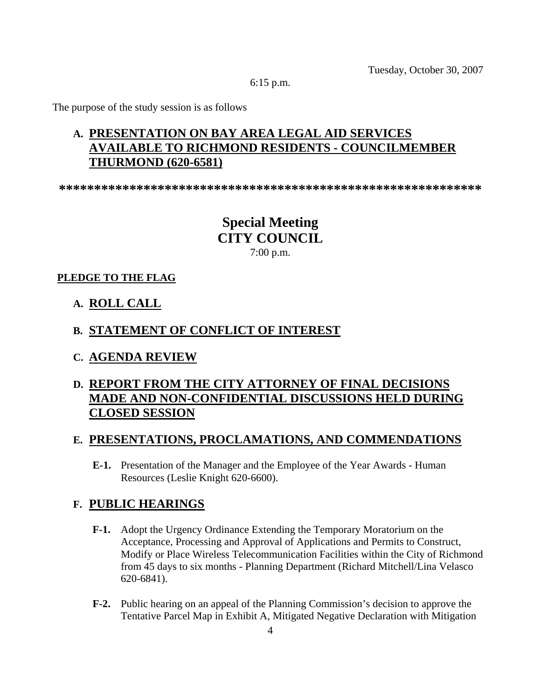Tuesday, October 30, 2007

6:15 p.m.

The purpose of the study session is as follows

### **A. PRESENTATION ON BAY AREA LEGAL AID SERVICES AVAILABLE TO RICHMOND RESIDENTS - COUNCILMEMBER THURMOND (620-6581)**

**\*\*\*\*\*\*\*\*\*\*\*\*\*\*\*\*\*\*\*\*\*\*\*\*\*\*\*\*\*\*\*\*\*\*\*\*\*\*\*\*\*\*\*\*\*\*\*\*\*\*\*\*\*\*\*\*\*\*\*\*** 

**Special Meeting CITY COUNCIL**  7:00 p.m.

#### **PLEDGE TO THE FLAG**

**A. ROLL CALL**

#### **B. STATEMENT OF CONFLICT OF INTEREST**

**C. AGENDA REVIEW**

### **D. REPORT FROM THE CITY ATTORNEY OF FINAL DECISIONS MADE AND NON-CONFIDENTIAL DISCUSSIONS HELD DURING CLOSED SESSION**

#### **E. PRESENTATIONS, PROCLAMATIONS, AND COMMENDATIONS**

 **E-1.** Presentation of the Manager and the Employee of the Year Awards - Human Resources (Leslie Knight 620-6600).

#### **F. PUBLIC HEARINGS**

- **F-1.** Adopt the Urgency Ordinance Extending the Temporary Moratorium on the Acceptance, Processing and Approval of Applications and Permits to Construct, Modify or Place Wireless Telecommunication Facilities within the City of Richmond from 45 days to six months - Planning Department (Richard Mitchell/Lina Velasco 620-6841).
- **F-2.** Public hearing on an appeal of the Planning Commission's decision to approve the Tentative Parcel Map in Exhibit A, Mitigated Negative Declaration with Mitigation